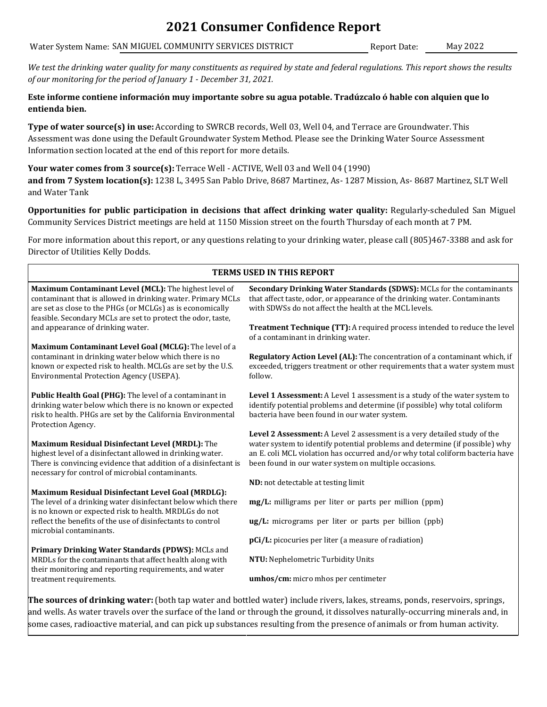### **2021 Consumer Confidence Report**

Water System Name: SAN MIGUEL COMMUNITY SERVICES DISTRICT Report Date: May 2022

*We test the drinking water quality for many constituents as required by state and federal regulations. This report shows the results of our monitoring for the period of January 1 - December 31, 2021.*

**Este informe contiene información muy importante sobre su agua potable. Tradúzcalo ó hable con alquien que lo entienda bien.**

**Type of water source(s) in use:** According to SWRCB records, Well 03, Well 04, and Terrace are Groundwater. This Assessment was done using the Default Groundwater System Method. Please see the Drinking Water Source Assessment Information section located at the end of this report for more details.

**Your water comes from 3 source(s):** Terrace Well - ACTIVE, Well 03 and Well 04 (1990) **and from 7 System location(s):** 1238 L, 3495 San Pablo Drive, 8687 Martinez, As- 1287 Mission, As- 8687 Martinez, SLT Well and Water Tank

**Opportunities for public participation in decisions that affect drinking water quality:** Regularly-scheduled San Miguel Community Services District meetings are held at 1150 Mission street on the fourth Thursday of each month at 7 PM.

For more information about this report, or any questions relating to your drinking water, please call (805)467-3388 and ask for Director of Utilities Kelly Dodds.

| <b>TERMS USED IN THIS REPORT</b>                                                                                                                                                                                                                   |                                                                                                                                                                                                                                                                                                   |  |  |  |  |  |  |
|----------------------------------------------------------------------------------------------------------------------------------------------------------------------------------------------------------------------------------------------------|---------------------------------------------------------------------------------------------------------------------------------------------------------------------------------------------------------------------------------------------------------------------------------------------------|--|--|--|--|--|--|
| Maximum Contaminant Level (MCL): The highest level of<br>contaminant that is allowed in drinking water. Primary MCLs<br>are set as close to the PHGs (or MCLGs) as is economically<br>feasible. Secondary MCLs are set to protect the odor, taste, | <b>Secondary Drinking Water Standards (SDWS): MCLs for the contaminants</b><br>that affect taste, odor, or appearance of the drinking water. Contaminants<br>with SDWSs do not affect the health at the MCL levels.                                                                               |  |  |  |  |  |  |
| and appearance of drinking water.                                                                                                                                                                                                                  | Treatment Technique (TT): A required process intended to reduce the level<br>of a contaminant in drinking water.                                                                                                                                                                                  |  |  |  |  |  |  |
| Maximum Contaminant Level Goal (MCLG): The level of a                                                                                                                                                                                              |                                                                                                                                                                                                                                                                                                   |  |  |  |  |  |  |
| contaminant in drinking water below which there is no<br>known or expected risk to health. MCLGs are set by the U.S.<br>Environmental Protection Agency (USEPA).                                                                                   | Regulatory Action Level (AL): The concentration of a contaminant which, if<br>exceeded, triggers treatment or other requirements that a water system must<br>follow.                                                                                                                              |  |  |  |  |  |  |
| Public Health Goal (PHG): The level of a contaminant in<br>drinking water below which there is no known or expected<br>risk to health. PHGs are set by the California Environmental<br>Protection Agency.                                          | Level 1 Assessment: A Level 1 assessment is a study of the water system to<br>identify potential problems and determine (if possible) why total coliform<br>bacteria have been found in our water system.                                                                                         |  |  |  |  |  |  |
| Maximum Residual Disinfectant Level (MRDL): The<br>highest level of a disinfectant allowed in drinking water.<br>There is convincing evidence that addition of a disinfectant is<br>necessary for control of microbial contaminants.               | Level 2 Assessment: A Level 2 assessment is a very detailed study of the<br>water system to identify potential problems and determine (if possible) why<br>an E. coli MCL violation has occurred and/or why total coliform bacteria have<br>been found in our water system on multiple occasions. |  |  |  |  |  |  |
|                                                                                                                                                                                                                                                    | ND: not detectable at testing limit                                                                                                                                                                                                                                                               |  |  |  |  |  |  |
| Maximum Residual Disinfectant Level Goal (MRDLG):<br>The level of a drinking water disinfectant below which there<br>is no known or expected risk to health. MRDLGs do not                                                                         | mg/L: milligrams per liter or parts per million (ppm)                                                                                                                                                                                                                                             |  |  |  |  |  |  |
| reflect the benefits of the use of disinfectants to control<br>microbial contaminants.                                                                                                                                                             | ug/L: micrograms per liter or parts per billion (ppb)                                                                                                                                                                                                                                             |  |  |  |  |  |  |
|                                                                                                                                                                                                                                                    | pCi/L: picocuries per liter (a measure of radiation)                                                                                                                                                                                                                                              |  |  |  |  |  |  |
| Primary Drinking Water Standards (PDWS): MCLs and<br>MRDLs for the contaminants that affect health along with<br>their monitoring and reporting requirements, and water                                                                            | NTU: Nephelometric Turbidity Units                                                                                                                                                                                                                                                                |  |  |  |  |  |  |
| treatment requirements.                                                                                                                                                                                                                            | umhos/cm: micro mhos per centimeter                                                                                                                                                                                                                                                               |  |  |  |  |  |  |
|                                                                                                                                                                                                                                                    | The sources of drinking water: (both tap water and bottled water) include rivers, lakes, streams, ponds, reservoirs, springs,                                                                                                                                                                     |  |  |  |  |  |  |

and wells. As water travels over the surface of the land or through the ground, it dissolves naturally-occurring minerals and, in some cases, radioactive material, and can pick up substances resulting from the presence of animals or from human activity.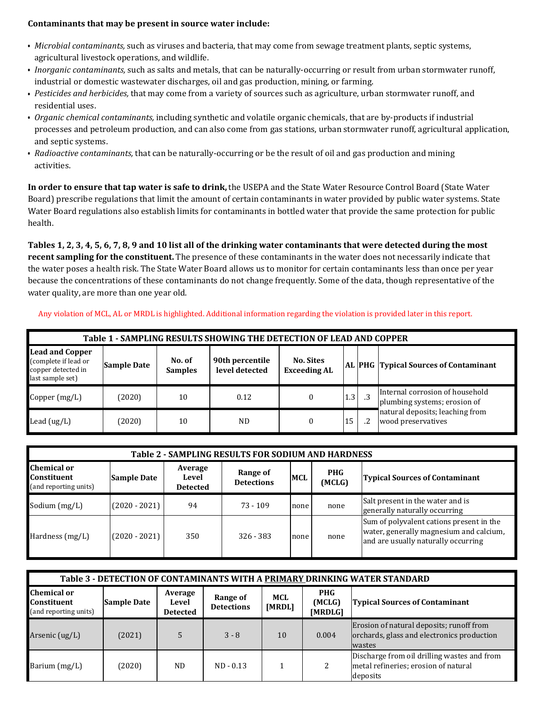#### **Contaminants that may be present in source water include:**

- *Microbial contaminants,* such as viruses and bacteria, that may come from sewage treatment plants, septic systems, agricultural livestock operations, and wildlife.
- *Inorganic contaminants,* such as salts and metals, that can be naturally-occurring or result from urban stormwater runoff, industrial or domestic wastewater discharges, oil and gas production, mining, or farming.
- *Pesticides and herbicides,* that may come from a variety of sources such as agriculture, urban stormwater runoff, and residential uses.
- *Organic chemical contaminants,* including synthetic and volatile organic chemicals, that are by-products if industrial processes and petroleum production, and can also come from gas stations, urban stormwater runoff, agricultural application, and septic systems.
- *Radioactive contaminants,* that can be naturally-occurring or be the result of oil and gas production and mining activities.

**In order to ensure that tap water is safe to drink,** the USEPA and the State Water Resource Control Board (State Water Board) prescribe regulations that limit the amount of certain contaminants in water provided by public water systems. State Water Board regulations also establish limits for contaminants in bottled water that provide the same protection for public health.

**Tables 1, 2, 3, 4, 5, 6, 7, 8, 9 and 10 list all of the drinking water contaminants that were detected during the most recent sampling for the constituent.** The presence of these contaminants in the water does not necessarily indicate that the water poses a health risk. The State Water Board allows us to monitor for certain contaminants less than once per year because the concentrations of these contaminants do not change frequently. Some of the data, though representative of the water quality, are more than one year old.

Any violation of MCL, AL or MRDL is highlighted. Additional information regarding the violation is provided later in this report.

| Table 1 - SAMPLING RESULTS SHOWING THE DETECTION OF LEAD AND COPPER                      |                    |                          |                                   |                                         |     |  |                                                                 |  |  |  |
|------------------------------------------------------------------------------------------|--------------------|--------------------------|-----------------------------------|-----------------------------------------|-----|--|-----------------------------------------------------------------|--|--|--|
| <b>Lead and Copper</b><br>(complete if lead or<br>copper detected in<br>last sample set) | <b>Sample Date</b> | No. of<br><b>Samples</b> | 90th percentile<br>level detected | <b>No. Sites</b><br><b>Exceeding AL</b> |     |  | AL  PHG   Typical Sources of Contaminant                        |  |  |  |
| Copper (mg/L)                                                                            | (2020)             | 10                       | 0.12                              |                                         | 1.3 |  | Internal corrosion of household<br>plumbing systems; erosion of |  |  |  |
| Lead (ug/L)                                                                              | (2020)             | 10                       | ND.                               |                                         | 15  |  | natural deposits; leaching from<br>wood preservatives           |  |  |  |

| Table 2 - SAMPLING RESULTS FOR SODIUM AND HARDNESS                |                    |                                     |                               |            |                      |                                                                                                                            |  |  |  |
|-------------------------------------------------------------------|--------------------|-------------------------------------|-------------------------------|------------|----------------------|----------------------------------------------------------------------------------------------------------------------------|--|--|--|
| <b>Chemical or</b><br><b>Constituent</b><br>(and reporting units) | <b>Sample Date</b> | Average<br>Level<br><b>Detected</b> | Range of<br><b>Detections</b> | <b>MCL</b> | <b>PHG</b><br>(MCLG) | <b>Typical Sources of Contaminant</b>                                                                                      |  |  |  |
| Sodium (mg/L)                                                     | $(2020 - 2021)$    | 94                                  | $73 - 109$                    | none       | none                 | Salt present in the water and is<br>generally naturally occurring                                                          |  |  |  |
| Hardness $(mg/L)$                                                 | $(2020 - 2021)$    | 350                                 | 326 - 383                     | none       | none                 | Sum of polyvalent cations present in the<br>water, generally magnesium and calcium,<br>and are usually naturally occurring |  |  |  |

| Table 3 - DETECTION OF CONTAMINANTS WITH A PRIMARY DRINKING WATER STANDARD |                                                                                                                                             |                                     |                               |               |                                 |                                                                                                 |  |  |
|----------------------------------------------------------------------------|---------------------------------------------------------------------------------------------------------------------------------------------|-------------------------------------|-------------------------------|---------------|---------------------------------|-------------------------------------------------------------------------------------------------|--|--|
| <b>Chemical or</b><br><b>Constituent</b><br>(and reporting units)          | <b>Sample Date</b>                                                                                                                          | Average<br>Level<br><b>Detected</b> | Range of<br><b>Detections</b> | MCL<br>[MRDL] | <b>PHG</b><br>(MCLG)<br>[MRDLG] | <b>Typical Sources of Contaminant</b>                                                           |  |  |
| Arsenic $(ug/L)$                                                           | Erosion of natural deposits; runoff from<br>orchards, glass and electronics production<br>$3 - 8$<br>10<br>(2021)<br>0.004<br><b>wastes</b> |                                     |                               |               |                                 |                                                                                                 |  |  |
| Barium (mg/L)                                                              | (2020)                                                                                                                                      | <b>ND</b>                           | $ND - 0.13$                   |               |                                 | Discharge from oil drilling wastes and from<br>metal refineries; erosion of natural<br>deposits |  |  |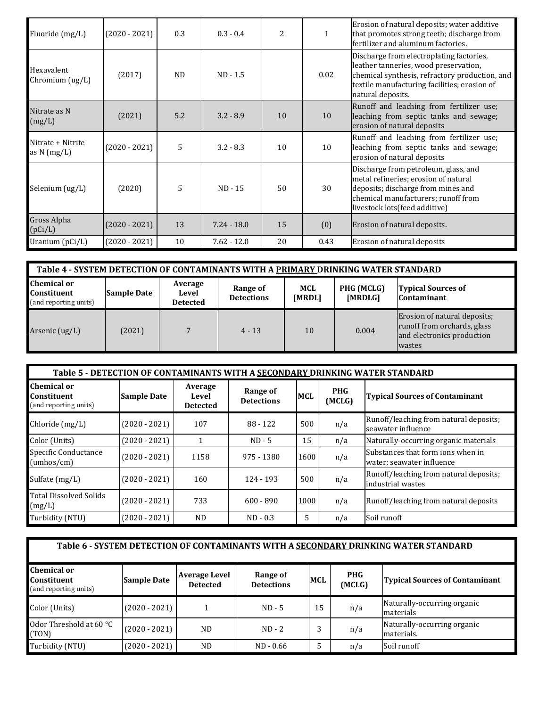| Fluoride (mg/L)                       | $(2020 - 2021)$ | 0.3            | $0.3 - 0.4$   | 2  | $\mathbf{1}$ | Erosion of natural deposits; water additive<br>that promotes strong teeth; discharge from<br>fertilizer and aluminum factories.                                                                          |
|---------------------------------------|-----------------|----------------|---------------|----|--------------|----------------------------------------------------------------------------------------------------------------------------------------------------------------------------------------------------------|
| Hexavalent<br>Chromium (ug/L)         | (2017)          | N <sub>D</sub> | $ND - 1.5$    |    | 0.02         | Discharge from electroplating factories,<br>leather tanneries, wood preservation,<br>chemical synthesis, refractory production, and<br>textile manufacturing facilities; erosion of<br>natural deposits. |
| Nitrate as N<br>(mg/L)                | (2021)          | 5.2            | $3.2 - 8.9$   | 10 | 10           | Runoff and leaching from fertilizer use;<br>leaching from septic tanks and sewage;<br>erosion of natural deposits                                                                                        |
| Nitrate + Nitrite<br>as $N \, (mg/L)$ | $(2020 - 2021)$ | 5              | $3.2 - 8.3$   | 10 | 10           | Runoff and leaching from fertilizer use;<br>leaching from septic tanks and sewage;<br>erosion of natural deposits                                                                                        |
| Selenium (ug/L)                       | (2020)          | 5              | $ND - 15$     | 50 | 30           | Discharge from petroleum, glass, and<br>metal refineries; erosion of natural<br>deposits; discharge from mines and<br>chemical manufacturers; runoff from<br>livestock lots(feed additive)               |
| Gross Alpha<br>(pCi/L)                | $(2020 - 2021)$ | 13             | $7.24 - 18.0$ | 15 | (0)          | Erosion of natural deposits.                                                                                                                                                                             |
| Uranium (pCi/L)                       | $(2020 - 2021)$ | 10             | $7.62 - 12.0$ | 20 | 0.43         | Erosion of natural deposits                                                                                                                                                                              |

| Table 4 - SYSTEM DETECTION OF CONTAMINANTS WITH A PRIMARY DRINKING WATER STANDARD |                    |                                     |                               |               |                       |                                                                                                     |  |  |
|-----------------------------------------------------------------------------------|--------------------|-------------------------------------|-------------------------------|---------------|-----------------------|-----------------------------------------------------------------------------------------------------|--|--|
| <b>Chemical or</b><br>Constituent<br>(and reporting units)                        | <b>Sample Date</b> | Average<br>Level<br><b>Detected</b> | Range of<br><b>Detections</b> | MCL<br>[MRDL] | PHG (MCLG)<br>[MRDLG] | <b>Typical Sources of</b><br><b>Contaminant</b>                                                     |  |  |
| Arsenic $(ug/L)$                                                                  | (2021)             |                                     | $4 - 13$                      | 10            | 0.004                 | Erosion of natural deposits;<br>runoff from orchards, glass<br>and electronics production<br>wastes |  |  |

| Table 5 - DETECTION OF CONTAMINANTS WITH A SECONDARY DRINKING WATER STANDARD |                                                                                                                                                                           |           |             |      |     |                                                                |  |  |  |
|------------------------------------------------------------------------------|---------------------------------------------------------------------------------------------------------------------------------------------------------------------------|-----------|-------------|------|-----|----------------------------------------------------------------|--|--|--|
| <b>Chemical or</b><br><b>Constituent</b><br>(and reporting units)            | Average<br><b>PHG</b><br>Range of<br><b>MCL</b><br><b>Typical Sources of Contaminant</b><br><b>Sample Date</b><br>Level<br>(MCLG)<br><b>Detections</b><br><b>Detected</b> |           |             |      |     |                                                                |  |  |  |
| Chloride (mg/L)                                                              | $(2020 - 2021)$                                                                                                                                                           | 107       | 88 - 122    | 500  | n/a | Runoff/leaching from natural deposits;<br>seawater influence   |  |  |  |
| Color (Units)                                                                | $(2020 - 2021)$                                                                                                                                                           |           | $ND - 5$    | 15   | n/a | Naturally-occurring organic materials                          |  |  |  |
| Specific Conductance<br>(umbos/cm)                                           | $(2020 - 2021)$                                                                                                                                                           | 1158      | 975 - 1380  | 1600 | n/a | Substances that form ions when in<br>water; seawater influence |  |  |  |
| Sulfate (mg/L)                                                               | $(2020 - 2021)$                                                                                                                                                           | 160       | 124 - 193   | 500  | n/a | Runoff/leaching from natural deposits;<br>industrial wastes    |  |  |  |
| <b>Total Dissolved Solids</b><br>(mg/L)                                      | $(2020 - 2021)$                                                                                                                                                           | 733       | $600 - 890$ | 1000 | n/a | Runoff/leaching from natural deposits                          |  |  |  |
| Turbidity (NTU)                                                              | $(2020 - 2021)$                                                                                                                                                           | <b>ND</b> | $ND - 0.3$  | 5    | n/a | Soil runoff                                                    |  |  |  |

| Table 6 - SYSTEM DETECTION OF CONTAMINANTS WITH A SECONDARY DRINKING WATER STANDARD |                    |                                         |                               |            |                      |                                           |  |  |  |
|-------------------------------------------------------------------------------------|--------------------|-----------------------------------------|-------------------------------|------------|----------------------|-------------------------------------------|--|--|--|
| <b>Chemical or</b><br><b>Constituent</b><br>(and reporting units)                   | <b>Sample Date</b> | <b>Average Level</b><br><b>Detected</b> | Range of<br><b>Detections</b> | <b>MCL</b> | <b>PHG</b><br>(MCLG) | <b>Typical Sources of Contaminant</b>     |  |  |  |
| Color (Units)                                                                       | $(2020 - 2021)$    |                                         | $ND - 5$                      | 15         | n/a                  | Naturally-occurring organic<br>materials  |  |  |  |
| Odor Threshold at 60 °C<br>(TON)                                                    | $(2020 - 2021)$    | ND.                                     | $ND - 2$                      |            | n/a                  | Naturally-occurring organic<br>materials. |  |  |  |
| Turbidity (NTU)                                                                     | $(2020 - 2021)$    | ND.                                     | $ND - 0.66$                   |            | n/a                  | Soil runoff                               |  |  |  |

 $\mathbb{F}$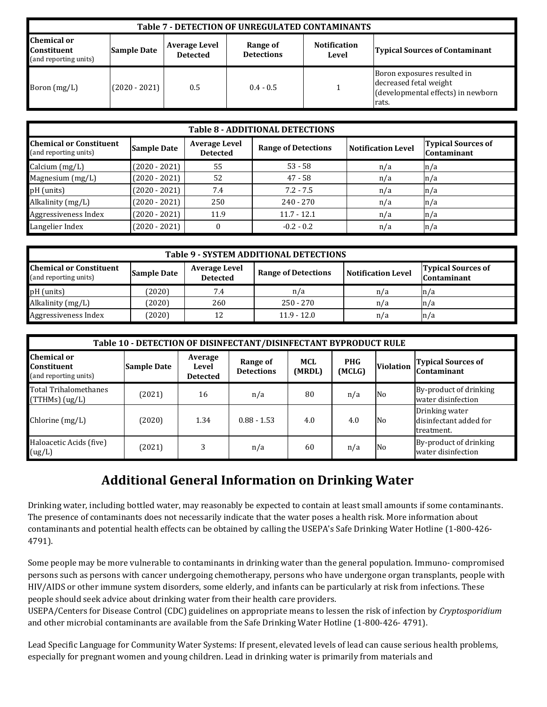| Table 7 - DETECTION OF UNREGULATED CONTAMINANTS                   |                    |                                         |                               |                              |                                                                                                      |  |  |  |  |
|-------------------------------------------------------------------|--------------------|-----------------------------------------|-------------------------------|------------------------------|------------------------------------------------------------------------------------------------------|--|--|--|--|
| <b>Chemical or</b><br><b>Constituent</b><br>(and reporting units) | <b>Sample Date</b> | <b>Average Level</b><br><b>Detected</b> | Range of<br><b>Detections</b> | <b>Notification</b><br>Level | <b>Typical Sources of Contaminant</b>                                                                |  |  |  |  |
| Boron $(mg/L)$                                                    | $(2020 - 2021)$    | 0.5                                     | $0.4 - 0.5$                   |                              | Boron exposures resulted in<br>decreased fetal weight<br>(developmental effects) in newborn<br>rats. |  |  |  |  |

| <b>Table 8 - ADDITIONAL DETECTIONS</b>                  |                    |                                         |                            |                           |                                                 |  |  |  |  |
|---------------------------------------------------------|--------------------|-----------------------------------------|----------------------------|---------------------------|-------------------------------------------------|--|--|--|--|
| <b>Chemical or Constituent</b><br>(and reporting units) | <b>Sample Date</b> | <b>Average Level</b><br><b>Detected</b> | <b>Range of Detections</b> | <b>Notification Level</b> | <b>Typical Sources of</b><br><b>Contaminant</b> |  |  |  |  |
| Calcium (mg/L)                                          | $(2020 - 2021)$    | 55                                      | $53 - 58$                  | n/a                       | n/a                                             |  |  |  |  |
| Magnesium (mg/L)                                        | $(2020 - 2021)$    | 52                                      | $47 - 58$                  | n/a                       | n/a                                             |  |  |  |  |
| pH (units)                                              | $(2020 - 2021)$    | 7.4                                     | $7.2 - 7.5$                | n/a                       | n/a                                             |  |  |  |  |
| Alkalinity (mg/L)                                       | $(2020 - 2021)$    | 250                                     | $240 - 270$                | n/a                       | n/a                                             |  |  |  |  |
| Aggressiveness Index                                    | $(2020 - 2021)$    | 11.9                                    | $11.7 - 12.1$              | n/a                       | n/a                                             |  |  |  |  |
| Langelier Index                                         | $(2020 - 2021)$    |                                         | $-0.2 - 0.2$               | n/a                       | n/a                                             |  |  |  |  |

| Table 9 - SYSTEM ADDITIONAL DETECTIONS                                                                                                                                                                                                 |        |     |               |     |     |  |  |  |  |
|----------------------------------------------------------------------------------------------------------------------------------------------------------------------------------------------------------------------------------------|--------|-----|---------------|-----|-----|--|--|--|--|
| <b>Chemical or Constituent</b><br><b>Typical Sources of</b><br><b>Average Level</b><br><b>Range of Detections</b><br><b>Notification Level</b><br><b>Sample Date</b><br><b>Detected</b><br>(and reporting units)<br><b>Contaminant</b> |        |     |               |     |     |  |  |  |  |
| pH (units)                                                                                                                                                                                                                             | (2020) | 7.4 | n/a           | n/a | n/a |  |  |  |  |
| Alkalinity (mg/L)                                                                                                                                                                                                                      | (2020) | 260 | $250 - 270$   | n/a | n/a |  |  |  |  |
| Aggressiveness Index                                                                                                                                                                                                                   | (2020) | 12  | $11.9 - 12.0$ | n/a | n/a |  |  |  |  |

| Table 10 - DETECTION OF DISINFECTANT/DISINFECTANT BYPRODUCT RULE |                    |                                     |                               |               |                      |                  |                                                        |  |  |
|------------------------------------------------------------------|--------------------|-------------------------------------|-------------------------------|---------------|----------------------|------------------|--------------------------------------------------------|--|--|
| Chemical or<br>Constituent<br>(and reporting units)              | <b>Sample Date</b> | Average<br>Level<br><b>Detected</b> | Range of<br><b>Detections</b> | MCL<br>(MRDL) | <b>PHG</b><br>(MCLG) | <b>Violation</b> | <b>Typical Sources of</b><br><b>Contaminant</b>        |  |  |
| Total Trihalomethanes<br>(TTHMs) (ug/L)                          | (2021)             | 16                                  | n/a                           | 80            | n/a                  | N <sub>0</sub>   | By-product of drinking<br>water disinfection           |  |  |
| Chlorine (mg/L)                                                  | (2020)             | 1.34                                | $0.88 - 1.53$                 | 4.0           | 4.0                  | N <sub>0</sub>   | Drinking water<br>disinfectant added for<br>treatment. |  |  |
| Haloacetic Acids (five)<br>(ug/L)                                | (2021)             | 3                                   | n/a                           | 60            | n/a                  | No               | By-product of drinking<br>water disinfection           |  |  |

## **Additional General Information on Drinking Water**

Drinking water, including bottled water, may reasonably be expected to contain at least small amounts if some contaminants. The presence of contaminants does not necessarily indicate that the water poses a health risk. More information about contaminants and potential health effects can be obtained by calling the USEPA's Safe Drinking Water Hotline (1-800-426- 4791).

Some people may be more vulnerable to contaminants in drinking water than the general population. Immuno- compromised persons such as persons with cancer undergoing chemotherapy, persons who have undergone organ transplants, people with HIV/AIDS or other immune system disorders, some elderly, and infants can be particularly at risk from infections. These people should seek advice about drinking water from their health care providers.

USEPA/Centers for Disease Control (CDC) guidelines on appropriate means to lessen the risk of infection by *Cryptosporidium*  and other microbial contaminants are available from the Safe Drinking Water Hotline (1-800-426- 4791).

Lead Specific Language for Community Water Systems: If present, elevated levels of lead can cause serious health problems, especially for pregnant women and young children. Lead in drinking water is primarily from materials and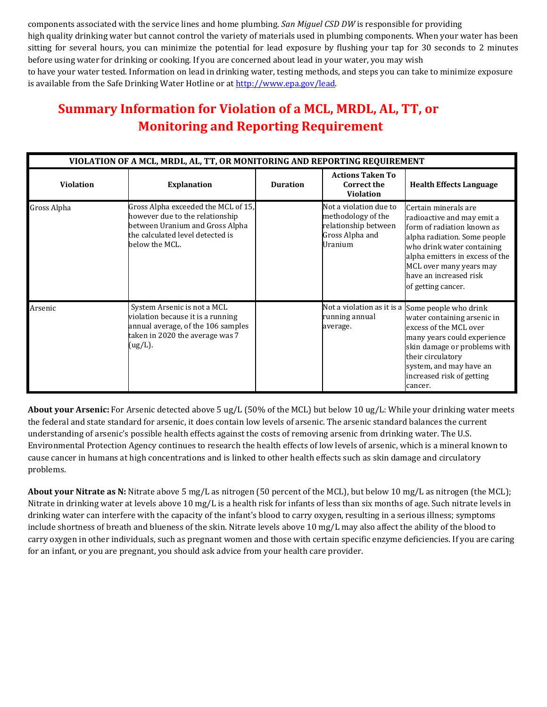components associated with the service lines and home plumbing. *San Miguel CSD DW* is responsible for providing high quality drinking water but cannot control the variety of materials used in plumbing components. When your water has been sitting for several hours, you can minimize the potential for lead exposure by flushing your tap for 30 seconds to 2 minutes before using water for drinking or cooking. If you are concerned about lead in your water, you may wish to have your water tested. Information on lead in drinking water, testing methods, and steps you can take to minimize exposure is available from the Safe Drinking Water Hotline or at http://www.epa.gov/lead.

# **Summary Information for Violation of a MCL, MRDL, AL, TT, or Monitoring and Reporting Requirement**

| VIOLATION OF A MCL, MRDL, AL, TT, OR MONITORING AND REPORTING REQUIREMENT |                                                                                                                                                                 |                 |                                                                                                           |                                                                                                                                                                                                                                                                  |
|---------------------------------------------------------------------------|-----------------------------------------------------------------------------------------------------------------------------------------------------------------|-----------------|-----------------------------------------------------------------------------------------------------------|------------------------------------------------------------------------------------------------------------------------------------------------------------------------------------------------------------------------------------------------------------------|
| <b>Violation</b>                                                          | <b>Explanation</b>                                                                                                                                              | <b>Duration</b> | <b>Actions Taken To</b><br><b>Correct the</b><br><b>Violation</b>                                         | <b>Health Effects Language</b>                                                                                                                                                                                                                                   |
| Gross Alpha                                                               | Gross Alpha exceeded the MCL of 15,<br>however due to the relationship<br>between Uranium and Gross Alpha<br>the calculated level detected is<br>below the MCL. |                 | Not a violation due to<br>methodology of the<br>relationship between<br>Gross Alpha and<br><b>Uranium</b> | Certain minerals are<br>radioactive and may emit a<br>form of radiation known as<br>alpha radiation. Some people<br>who drink water containing<br>alpha emitters in excess of the<br>MCL over many years may<br>have an increased risk<br>of getting cancer.     |
| Arsenic                                                                   | System Arsenic is not a MCL<br>violation because it is a running<br>annual average, of the 106 samples<br>taken in 2020 the average was 7<br>(ug/L).            |                 | running annual<br>average.                                                                                | Not a violation as it is a Some people who drink<br>water containing arsenic in<br>excess of the MCL over<br>many years could experience<br>skin damage or problems with<br>their circulatory<br>system, and may have an<br>increased risk of getting<br>cancer. |

**About your Arsenic:** For Arsenic detected above 5 ug/L (50% of the MCL) but below 10 ug/L: While your drinking water meets the federal and state standard for arsenic, it does contain low levels of arsenic. The arsenic standard balances the current understanding of arsenic's possible health effects against the costs of removing arsenic from drinking water. The U.S. Environmental Protection Agency continues to research the health effects of low levels of arsenic, which is a mineral known to cause cancer in humans at high concentrations and is linked to other health effects such as skin damage and circulatory problems.

**About your Nitrate as N:** Nitrate above 5 mg/L as nitrogen (50 percent of the MCL), but below 10 mg/L as nitrogen (the MCL); Nitrate in drinking water at levels above 10 mg/L is a health risk for infants of less than six months of age. Such nitrate levels in drinking water can interfere with the capacity of the infant's blood to carry oxygen, resulting in a serious illness; symptoms include shortness of breath and blueness of the skin. Nitrate levels above 10 mg/L may also affect the ability of the blood to carry oxygen in other individuals, such as pregnant women and those with certain specific enzyme deficiencies. If you are caring for an infant, or you are pregnant, you should ask advice from your health care provider.